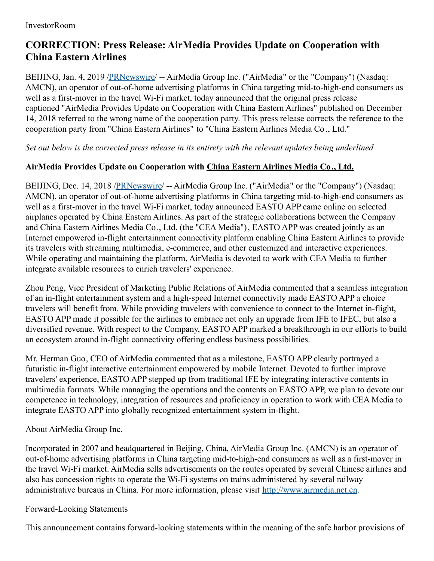## **CORRECTION: Press Release: AirMedia Provides Update on Cooperation with China Eastern Airlines**

BEIJING, Jan. 4, 2019 [/PRNewswire](http://www.prnewswire.com/)/ -- AirMedia Group Inc. ("AirMedia" or the "Company") (Nasdaq: AMCN), an operator of out-of-home advertising platforms in China targeting mid-to-high-end consumers as well as a first-mover in the travel Wi-Fi market, today announced that the original press release captioned "AirMedia Provides Update on Cooperation with China Eastern Airlines" published on December 14, 2018 referred to the wrong name of the cooperation party. This press release corrects the reference to the cooperation party from "China Eastern Airlines" to "China Eastern Airlines Media Co ., Ltd."

*Set out below is the corrected press release in its entirety with the relevant updates being underlined*

## **AirMedia Provides Update on Cooperation with China Eastern Airlines Media Co., Ltd.**

BEIJING, Dec. 14, 2018 [/PRNewswire](http://www.prnewswire.com/)/ -- AirMedia Group Inc. ("AirMedia" or the "Company") (Nasdaq: AMCN), an operator of out-of-home advertising platforms in China targeting mid-to-high-end consumers as well as a first-mover in the travel Wi-Fi market, today announced EASTO APP came online on selected airplanes operated by China Eastern Airlines. As part of the strategic collaborations between the Company and China Eastern Airlines Media Co., Ltd. (the "CEA Media"), EASTO APP was created jointly as an Internet empowered in-flight entertainment connectivity platform enabling China Eastern Airlines to provide its travelers with streaming multimedia, e-commerce, and other customized and interactive experiences. While operating and maintaining the platform, AirMedia is devoted to work with CEA Media to further integrate available resources to enrich travelers' experience.

Zhou Peng, Vice President of Marketing Public Relations of AirMedia commented that a seamless integration of an in-flight entertainment system and a high-speed Internet connectivity made EASTO APP a choice travelers will benefit from. While providing travelers with convenience to connect to the Internet in-flight, EASTO APP made it possible for the airlines to embrace not only an upgrade from IFE to IFEC, but also a diversified revenue. With respect to the Company, EASTO APP marked a breakthrough in our efforts to build an ecosystem around in-flight connectivity offering endless business possibilities.

Mr. Herman Guo, CEO of AirMedia commented that as a milestone, EASTO APP clearly portrayed a futuristic in-flight interactive entertainment empowered by mobile Internet. Devoted to further improve travelers' experience, EASTO APP stepped up from traditional IFE by integrating interactive contents in multimedia formats. While managing the operations and the contents on EASTO APP, we plan to devote our competence in technology, integration of resources and proficiency in operation to work with CEA Media to integrate EASTO APP into globally recognized entertainment system in-flight.

About AirMedia Group Inc.

Incorporated in 2007 and headquartered in Beijing, China, AirMedia Group Inc. (AMCN) is an operator of out-of-home advertising platforms in China targeting mid-to-high-end consumers as well as a first-mover in the travel Wi-Fi market. AirMedia sells advertisements on the routes operated by several Chinese airlines and also has concession rights to operate the Wi-Fi systems on trains administered by several railway administrative bureaus in China. For more information, please visit [http://www.airmedia.net.cn](http://www.airmedia.net.cn/).

## Forward-Looking Statements

This announcement contains forward-looking statements within the meaning of the safe harbor provisions of